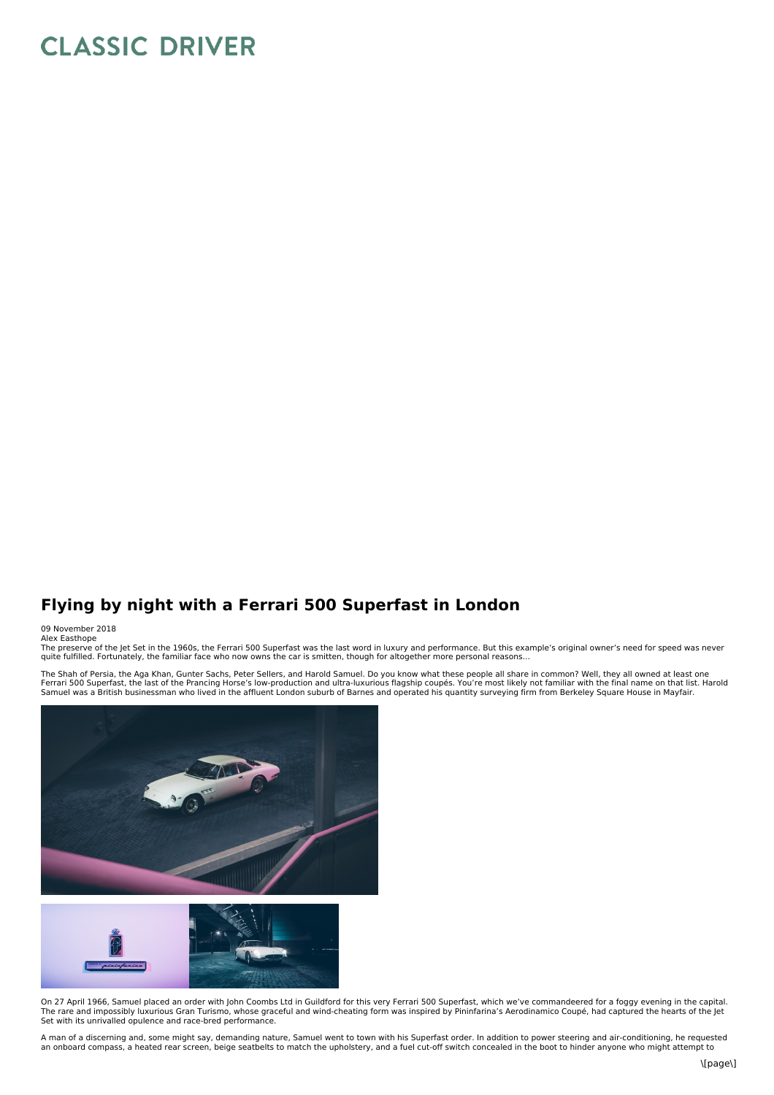## **CLASSIC DRIVER**

## **Flying by night with a Ferrari 500 Superfast in London**

## 09 November 2018

Alex Easthope<br>The preserve of the Jet Set in the 1960s, the Ferrari 500 Superfast was the last word in luxury and performance. But this example's original owner's need for speed was never quite fulfilled. Fortunately, the familiar face who now owns the car is smitten, though for altogether more personal reasons…

The Shah of Persia, the Aga Khan, Gunter Sachs, Peter Sellers, and Harold Samuel. Do you know what these people all share in common? Well, they all owned at least one<br>Ferrari 500 Superfast, the last of the Prancing Horse's





On 27 April 1966, Samuel placed an order with John Coombs Ltd in Guildford for this very Ferrari 500 Superfast, which we've commandeered for a foggy evening in the capital.<br>The rare and impossibly luxurious Gran Turismo, w Set with its unrivalled opulence and race-bred performance.

A man of a discerning and, some might say, demanding nature, Samuel went to town with his Superfast order. In addition to power steering and air-conditioning, he requested an onboard compass, a heated rear screen, beige seatbelts to match the upholstery, and a fuel cut-off switch concealed in the boot to hinder anyone who might attempt to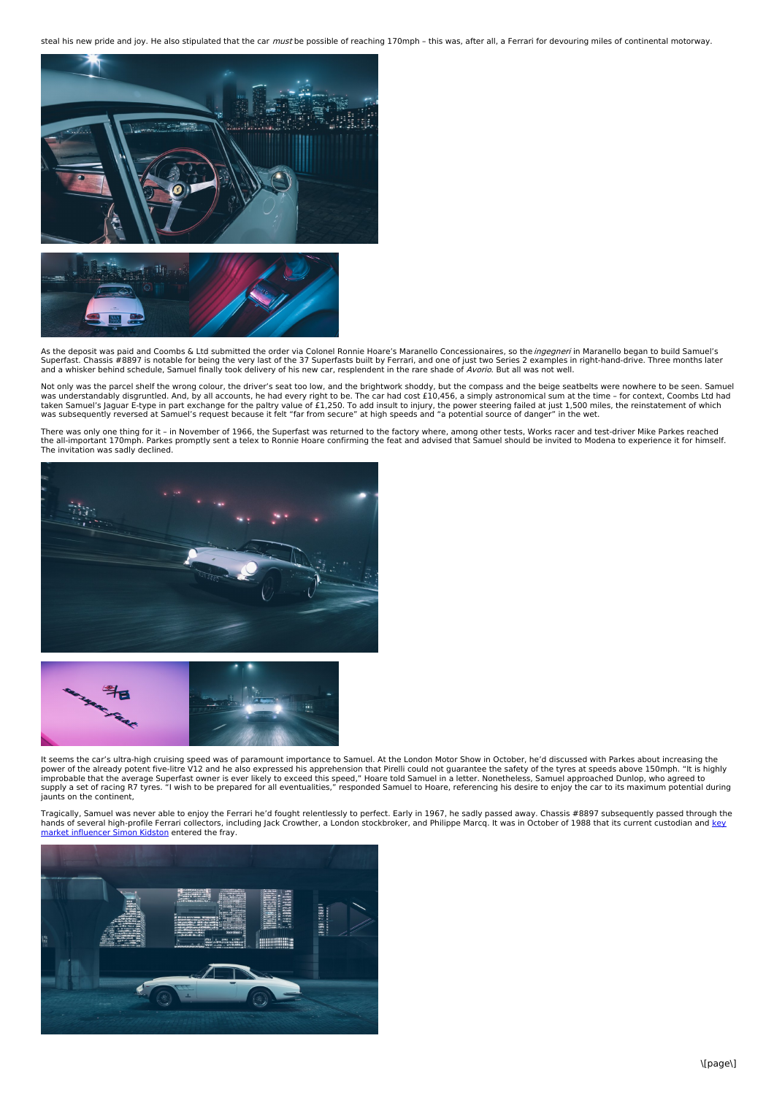steal his new pride and joy. He also stipulated that the car must be possible of reaching 170mph - this was, after all, a Ferrari for devouring miles of continental motorway.





As the deposit was paid and Coombs & Ltd submitted the order via Colonel Ronnie Hoare's Maranello Concessionaires, so the *ingegneri* in Maranello began to build Samuel's Superfast. Chassis #8897 is notable for being the very last of the 37 Superfasts built by Ferrari, and one of just two Series 2 examples in right-hand-drive. Three months later<br>and a whisker behind schedule, Samuel finally

Not only was the parcel shelf the wrong colour, the driver's seat too low, and the brightwork shoddy, but the compass and the beige seatbelts were nowhere to be seen. Samuel<br>was understandably disgruntled. And, by all acco was subsequently reversed at Samuel's request because it felt "far from secure" at high speeds and "a potential source of danger" in the wet.

There was only one thing for it – in November of 1966, the Superfast was returned to the factory where, among other tests, Works racer and test-driver Mike Parkes reached<br>the all-important 170mph. Parkes promptly sent a te The invitation was sadly declined.





It seems the car's ultra-high cruising speed was of paramount importance to Samuel. At the London Motor Show in October, he'd discussed with Parkes about increasing the power of the already potent five-litre V12 and he also expressed his apprehension that Pirelli could not guarantee the safety of the tyres at speeds above 150mph. "It is highly<br>improbable that the average Superfast owner i supply a set of racing R7 tyres. "I wish to be prepared for all eventualities," responded Samuel to Hoare, referencing his desire to enjoy the car to its maximum potential during jaunts on the continent,

Tragically, Samuel was never able to enjoy the Ferrari he'd fought relentlessly to perfect. Early in 1967, he sadly passed away. Chassis #8897 subsequently passed through the<br>hands of several high-profile Ferrari collector market influencer Simon Kidston entered the fray.